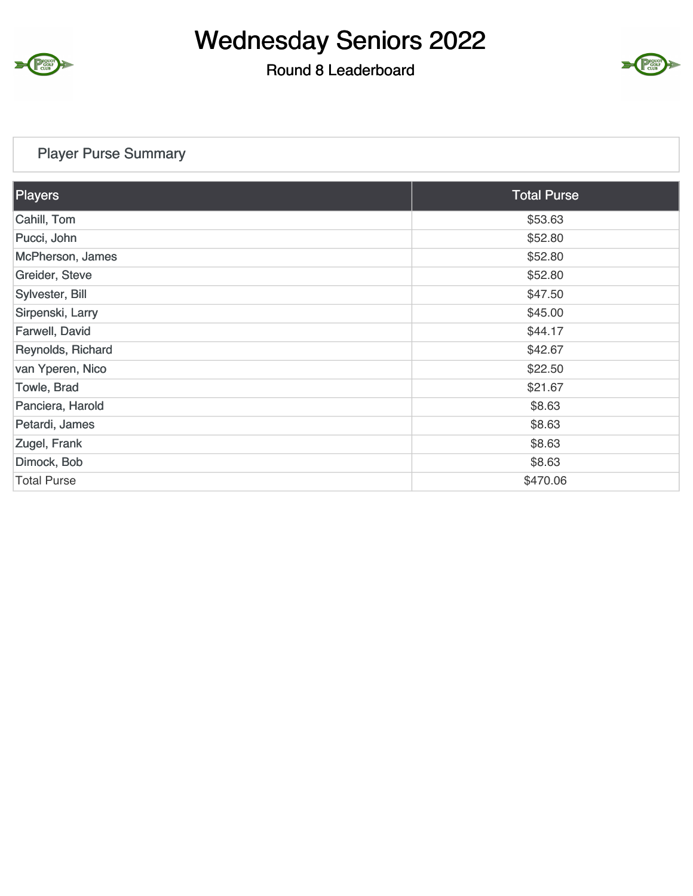

#### Round 8 Leaderboard



#### Player Purse Summary

| Players            | <b>Total Purse</b> |
|--------------------|--------------------|
| Cahill, Tom        | \$53.63            |
| Pucci, John        | \$52.80            |
| McPherson, James   | \$52.80            |
| Greider, Steve     | \$52.80            |
| Sylvester, Bill    | \$47.50            |
| Sirpenski, Larry   | \$45.00            |
| Farwell, David     | \$44.17            |
| Reynolds, Richard  | \$42.67            |
| van Yperen, Nico   | \$22.50            |
| Towle, Brad        | \$21.67            |
| Panciera, Harold   | \$8.63             |
| Petardi, James     | \$8.63             |
| Zugel, Frank       | \$8.63             |
| Dimock, Bob        | \$8.63             |
| <b>Total Purse</b> | \$470.06           |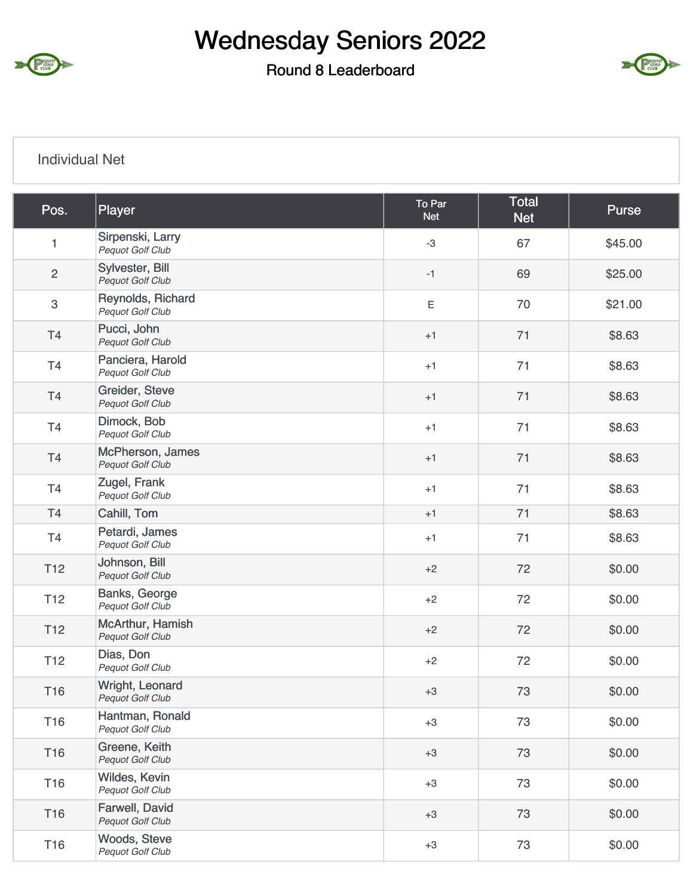

#### Round 8 Leaderboard



#### Individual Net

| Pos.            | Player                                 | To Par<br><b>Net</b> | <b>Total</b><br><b>Net</b> | Purse   |
|-----------------|----------------------------------------|----------------------|----------------------------|---------|
| $\mathbf{1}$    | Sirpenski, Larry<br>Pequot Golf Club   | $-3$                 | 67                         | \$45.00 |
| $\sqrt{2}$      | Sylvester, Bill<br>Pequot Golf Club    | $-1$                 | 69                         | \$25.00 |
| $\mathsf 3$     | Reynolds, Richard<br>Pequot Golf Club  | $\mathsf E$          | 70                         | \$21.00 |
| T <sub>4</sub>  | Pucci, John<br>Pequot Golf Club        | $+1$                 | 71                         | \$8.63  |
| T4              | Panciera, Harold<br>Pequot Golf Club   | $+1$                 | 71                         | \$8.63  |
| T <sub>4</sub>  | Greider, Steve<br>Pequot Golf Club     | $+1$                 | 71                         | \$8.63  |
| T4              | Dimock, Bob<br><b>Pequot Golf Club</b> | $+1$                 | 71                         | \$8.63  |
| T4              | McPherson, James<br>Pequot Golf Club   | $+1$                 | 71                         | \$8.63  |
| T <sub>4</sub>  | Zugel, Frank<br>Pequot Golf Club       | $+1$                 | 71                         | \$8.63  |
| T4              | Cahill, Tom                            | $+1$                 | 71                         | \$8.63  |
| T4              | Petardi, James<br>Pequot Golf Club     | $+1$                 | 71                         | \$8.63  |
| T <sub>12</sub> | Johnson, Bill<br>Pequot Golf Club      | $+2$                 | 72                         | \$0.00  |
| T <sub>12</sub> | Banks, George<br>Pequot Golf Club      | $+2$                 | 72                         | \$0.00  |
| T <sub>12</sub> | McArthur, Hamish<br>Pequot Golf Club   | $+2$                 | 72                         | \$0.00  |
| T <sub>12</sub> | Dias, Don<br>Pequot Golf Club          | $+2$                 | 72                         | \$0.00  |
| T16             | Wright, Leonard<br>Pequot Golf Club    | $+3$                 | 73                         | \$0.00  |
| <b>T16</b>      | Hantman, Ronald<br>Pequot Golf Club    | $+3$                 | 73                         | \$0.00  |
| T16             | Greene, Keith<br>Pequot Golf Club      | $+3$                 | 73                         | \$0.00  |
| T16             | Wildes, Kevin<br>Pequot Golf Club      | $+3$                 | 73                         | \$0.00  |
| T16             | Farwell, David<br>Pequot Golf Club     | $+3$                 | 73                         | \$0.00  |
| T16             | Woods, Steve<br>Pequot Golf Club       | $+3$                 | 73                         | \$0.00  |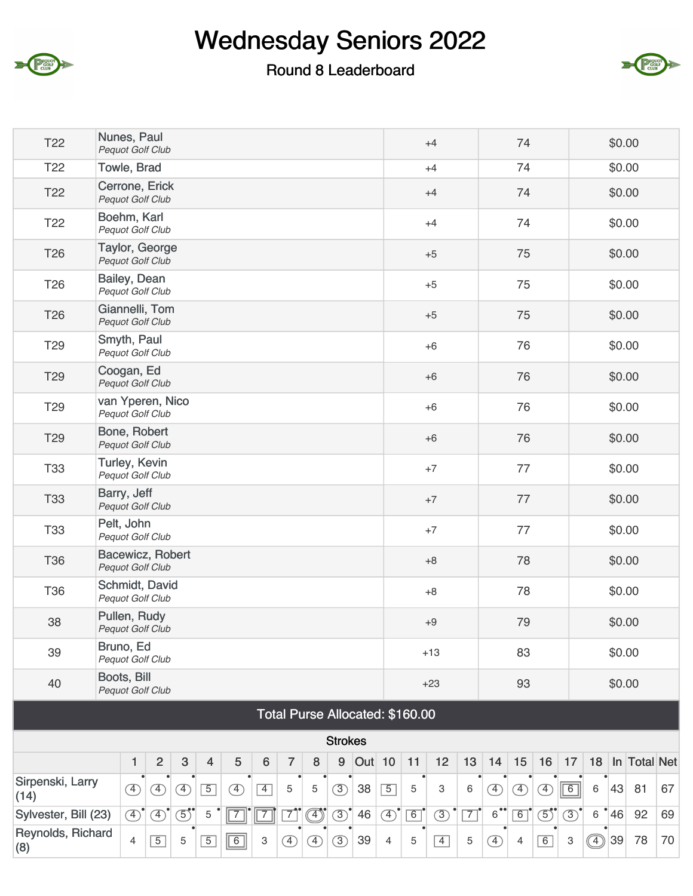

### Round 8 Leaderboard



| T <sub>22</sub>          | Nunes, Paul<br><b>Pequot Golf Club</b>      |               |                |               |                |               |             |                |                          |                |                                 |                |    | $+4$                      |                |                      | 74             |               |               |         | \$0.00 |              |    |
|--------------------------|---------------------------------------------|---------------|----------------|---------------|----------------|---------------|-------------|----------------|--------------------------|----------------|---------------------------------|----------------|----|---------------------------|----------------|----------------------|----------------|---------------|---------------|---------|--------|--------------|----|
| T <sub>22</sub>          | Towle, Brad                                 |               |                |               |                |               |             |                |                          |                |                                 |                |    | $+4$                      |                |                      | 74             |               |               |         | \$0.00 |              |    |
| T <sub>22</sub>          | Cerrone, Erick<br><b>Pequot Golf Club</b>   |               |                |               |                |               |             |                |                          |                |                                 |                |    | $+4$                      |                |                      | 74             |               |               |         | \$0.00 |              |    |
| T <sub>22</sub>          | Boehm, Karl<br>Pequot Golf Club             |               |                |               |                |               |             |                |                          |                |                                 |                |    | $+4$                      |                |                      | 74             |               |               |         | \$0.00 |              |    |
| T <sub>26</sub>          | Taylor, George<br>Pequot Golf Club          |               |                |               |                |               |             |                |                          |                |                                 |                |    | $+5$                      |                |                      | 75             |               |               |         | \$0.00 |              |    |
| T <sub>26</sub>          | Bailey, Dean<br>Pequot Golf Club            |               |                |               |                |               |             |                |                          |                |                                 |                |    | $+5$                      |                |                      | 75             |               |               |         | \$0.00 |              |    |
| T26                      | Giannelli, Tom<br>Pequot Golf Club          |               |                |               |                |               |             |                |                          |                |                                 |                |    | $+5$                      |                |                      | 75             |               |               |         | \$0.00 |              |    |
| T <sub>29</sub>          | Smyth, Paul<br>Pequot Golf Club             |               |                |               |                |               |             |                |                          |                |                                 |                |    | $+6$                      |                |                      | 76             |               |               |         | \$0.00 |              |    |
| T <sub>29</sub>          | Coogan, Ed<br><b>Pequot Golf Club</b>       |               |                |               |                |               |             |                |                          |                |                                 |                |    | $+6$                      |                |                      | 76             |               |               |         | \$0.00 |              |    |
| T <sub>29</sub>          | van Yperen, Nico<br><b>Pequot Golf Club</b> |               |                |               |                |               |             |                |                          |                |                                 |                |    | $+6$                      |                |                      | 76             |               |               |         | \$0.00 |              |    |
| T29                      | Bone, Robert<br>Pequot Golf Club            |               |                |               |                |               |             |                |                          |                |                                 |                |    | $+6$                      |                |                      | 76             |               |               |         | \$0.00 |              |    |
| <b>T33</b>               | Turley, Kevin<br>Pequot Golf Club           |               |                |               |                |               |             |                |                          |                |                                 |                |    | $+7$                      |                |                      | 77             |               |               |         | \$0.00 |              |    |
| <b>T33</b>               | Barry, Jeff<br>Pequot Golf Club             |               |                |               |                |               |             |                |                          |                |                                 |                |    | $+7$                      |                |                      | 77             |               |               |         | \$0.00 |              |    |
| <b>T33</b>               | Pelt, John<br>Pequot Golf Club              |               |                |               |                |               |             |                |                          |                |                                 |                |    | $+7$                      |                |                      | 77             |               |               |         | \$0.00 |              |    |
| <b>T36</b>               | Bacewicz, Robert<br>Pequot Golf Club        |               |                |               |                |               |             |                |                          |                |                                 |                |    | $+8$                      |                |                      | 78             |               |               |         | \$0.00 |              |    |
| <b>T36</b>               | Schmidt, David<br>Pequot Golf Club          |               |                |               |                |               |             |                |                          |                |                                 |                |    | $+8$                      |                |                      | 78             |               |               |         | \$0.00 |              |    |
| 38                       | Pullen, Rudy<br>Pequot Golf Club            |               |                |               |                |               |             |                |                          |                |                                 |                |    | $+9$                      |                |                      | 79             |               |               |         | \$0.00 |              |    |
| 39                       | Bruno, Ed<br><b>Pequot Golf Club</b>        |               |                |               |                |               |             |                |                          |                |                                 |                |    | $+13$                     |                |                      | 83             |               |               |         | \$0.00 |              |    |
| 40                       | Boots, Bill<br><b>Pequot Golf Club</b>      |               |                |               |                |               |             |                |                          |                |                                 |                |    | $+23$                     |                |                      | 93             |               |               |         | \$0.00 |              |    |
|                          |                                             |               |                |               |                |               |             |                |                          |                | Total Purse Allocated: \$160.00 |                |    |                           |                |                      |                |               |               |         |        |              |    |
|                          |                                             |               |                |               |                |               |             |                |                          | <b>Strokes</b> |                                 |                |    |                           |                |                      |                |               |               |         |        |              |    |
|                          |                                             | 1             | $\overline{2}$ | $\mathbf{3}$  | $\overline{4}$ | 5             | 6           | $\overline{7}$ | $\bf 8$                  | 9              | <b>Out</b> 10                   |                | 11 | 12                        | 13             | 14                   | 15             | 16            | 17            | 18      |        | In Total Net |    |
| Sirpenski, Larry<br>(14) |                                             | $\circled{4}$ | $\circled{4}$  | $\circled{4}$ | $\boxed{5}$    | $\circled{4}$ | $\boxed{4}$ | 5              | 5                        | $\circled{3}$  | 38                              | $\boxed{5}$    | 5  | $\ensuremath{\mathsf{3}}$ | 6              | $\overline{4}$       | $\circled{4}$  | $\circled{4}$ | $\boxed{6}$   | 6       | 43     | 81           | 67 |
| Sylvester, Bill (23)     |                                             | $\circled{4}$ | $\circled{4}$  | $\circled{5}$ | 5              | $\sqrt{7}$    | $\boxed{7}$ | $\overline{7}$ | $\textcircled{\tiny{1}}$ | $\circled{3}$  | 46                              | $\circled{4}$  | 6  | $\circled{3}$             | $\overline{7}$ | $6^{\bullet\bullet}$ | $\boxed{6}$    | $\circled{5}$ | $\circled{3}$ | $\,6\,$ | 46     | 92           | 69 |
| Reynolds, Richard<br>(8) |                                             | 4             | $\boxed{5}$    | 5             | $\overline{5}$ | $\boxed{6}$   | 3           | $\circled{4}$  | $\circled{4}$            | $\circled{3}$  | 39                              | $\overline{4}$ | 5  | $\overline{4}$            | 5              | $\circled{4}$        | $\overline{4}$ | 6             | 3             | ◑       | 39     | 78           | 70 |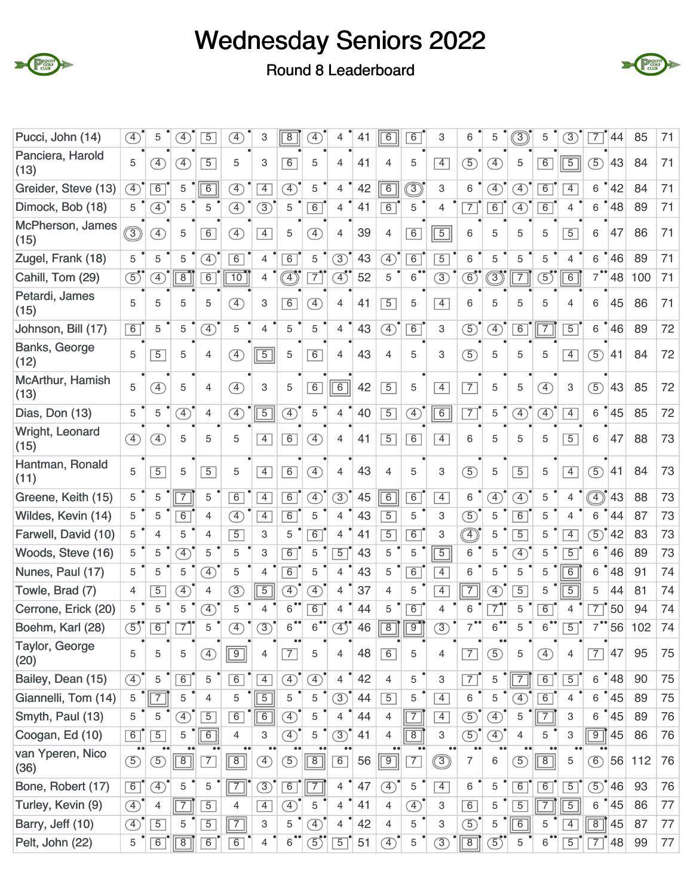



Round 8 Leaderboard

| Pucci, John (14)         | A)                              | 5                            | $\boxed{4}$    | $\overline{5}$ | $\overline{4}$               | 3                         | $\overline{8}$               | $\left( 4\right)$                                             |                             | 41 | $\overline{6}$               | $\overline{6}$    | 3                         | 6              | 5                            | $\boxed{3}$                  | 5                            | $\circled{3}$  | 7                           | 44              | 85  | 71 |
|--------------------------|---------------------------------|------------------------------|----------------|----------------|------------------------------|---------------------------|------------------------------|---------------------------------------------------------------|-----------------------------|----|------------------------------|-------------------|---------------------------|----------------|------------------------------|------------------------------|------------------------------|----------------|-----------------------------|-----------------|-----|----|
| Panciera, Harold<br>(13) | 5                               | $\left( \overline{4}\right)$ | F)             | $\overline{5}$ | 5                            | 3                         | 6                            | 5                                                             | $\overline{4}$              | 41 | $\overline{4}$               | 5                 | $\overline{4}$            | $\circled{5}$  | $\left( \overline{4}\right)$ | 5                            | 6                            | $\overline{5}$ | $\circled{5}$               | 43              | 84  | 71 |
| Greider, Steve (13)      | $\left( \overline{4}\right)$    | $\overline{6}$               | 5              | $\overline{6}$ | $\left( \overline{4}\right)$ | $\overline{4}$            | $\mathcal{F}$                | 5                                                             | 4                           | 42 | 6                            | I)                | 3                         | 6              | $\left( \overline{4}\right)$ | $\mathcal{F}$                | $\overline{6}$               | $\overline{4}$ | 6                           | 42              | 84  | 71 |
| Dimock, Bob (18)         | 5                               | $\circled{4}$                | 5              | 5              | $\left( \overline{4}\right)$ | $\circled{3}$             | 5                            | 6                                                             | $\overline{4}$              | 41 | 6                            | 5                 | 4                         | $\overline{7}$ | $\overline{6}$               | $\left( \overline{4}\right)$ | $\overline{6}$               | 4              | 6                           | 48              | 89  | 71 |
| McPherson, James<br>(15) | $\circledS$                     | Ŧ)                           | 5              | 6              | $\mathcal{F}$                | $\overline{4}$            | 5                            | $\left( \overline{4}\right)$                                  | 4                           | 39 | $\overline{4}$               | 6                 | $\sqrt{5}$                | 6              | 5                            | 5                            | 5                            | $\overline{5}$ | 6                           | 47              | 86  | 71 |
| Zugel, Frank (18)        | 5                               | 5                            | 5              | $\circled{4}$  | $\overline{6}$               | 4                         | $\overline{6}$               | 5                                                             | $\circled{3}$               | 43 | $\circled{4}$                | $\overline{6}$    | $\overline{5}$            | 6              | 5                            | 5                            | 5                            | 4              | 6                           | 46              | 89  | 71 |
| Cahill, Tom (29)         | $\textcircled{\small{5}}$       | Ŧ)                           | $\overline{8}$ | $\overline{6}$ | 10                           | 4                         | $\sqrt{4}$                   | $\overline{7}$                                                | $\boxed{4}$                 | 52 | 5                            | $6$ <sup>**</sup> | $\circled{3}$             | $\circledS$    | ③                            | $\overline{7}$               | $\overline{5}$               | 6              | 7                           | 48              | 100 | 71 |
| Petardi, James<br>(15)   | 5                               | 5                            | 5              | 5              | $\mathcal{F}$                | 3                         | $\overline{6}$               | $\circledA$                                                   | 4                           | 41 | $\overline{5}$               | 5                 | $\overline{4}$            | 6              | 5                            | 5                            | 5                            | 4              | 6                           | 45              | 86  | 71 |
| Johnson, Bill (17)       | 6                               | 5                            | 5              | $\overline{4}$ | 5                            | $\overline{4}$            | 5                            | 5                                                             | $\overline{4}$              | 43 | $\circled{4}$                | 6                 | 3                         | $\circled{5}$  | $\overline{4}$               | 6                            | 7                            | $\overline{5}$ | 6                           | 46              | 89  | 72 |
| Banks, George<br>(12)    | 5                               | $\overline{5}$               | 5              | $\overline{4}$ | $\circled{4}$                | $\boxed{5}$               | 5                            | 6                                                             | $\overline{4}$              | 43 | $\overline{4}$               | 5                 | 3                         | $\circled{5}$  | 5                            | 5                            | 5                            | $\overline{4}$ | $\circled{5}$               | 41              | 84  | 72 |
| McArthur, Hamish<br>(13) | 5                               | $\left( \overline{4}\right)$ | 5              | 4              | $\left( \overline{4}\right)$ | 3                         | 5                            | 6                                                             | $\overline{6}$              | 42 | $\boxed{5}$                  | 5                 | $\overline{4}$            | $\overline{7}$ | 5                            | 5                            | $\left( \overline{4}\right)$ | 3              | (5)                         | 43              | 85  | 72 |
| Dias, Don (13)           | 5                               | 5                            | $\overline{4}$ | 4              | $\mathcal{F}$                | $\overline{5}$            | $\overline{4}$               | 5                                                             | $\overline{4}$              | 40 | $\overline{5}$               | $\circled{4}$     | 6                         | $\overline{7}$ | 5                            | $\circled{4}$                | $\circled{4}$                | $\overline{4}$ | 6                           | 45              | 85  | 72 |
| Wright, Leonard<br>(15)  | <sup>4</sup>                    | 4)                           | 5              | 5              | 5                            | $\overline{4}$            | 6                            | $\bigoplus$                                                   | 4                           | 41 | $\boxed{5}$                  | 6                 | $\overline{4}$            | 6              | 5                            | 5                            | 5                            | $\overline{5}$ | 6                           | 47              | 88  | 73 |
| Hantman, Ronald<br>(11)  | 5                               | $\overline{5}$               | 5              | $\overline{5}$ | 5                            | $\overline{4}$            | 6                            | $\circled{4}$                                                 | $\overline{4}$              | 43 | $\overline{4}$               | 5                 | 3                         | $\circledS$    | 5                            | $\overline{5}$               | 5                            | $\boxed{4}$    | $\circled{5}$               | 41              | 84  | 73 |
| Greene, Keith (15)       | 5                               | 5                            | $\overline{7}$ | 5              | $\overline{6}$               | $\overline{4}$            | 6                            | $\bigoplus$                                                   | $\circled{3}$               | 45 | 6                            | 6                 | $\overline{4}$            | 6              | $\circledA$                  | $\mathcal{F}$                | 5                            | 4              | $\left(\overline{4}\right)$ | 43              | 88  | 73 |
| Wildes, Kevin (14)       | 5                               | 5                            | $\overline{6}$ | $\overline{4}$ | $\left( \overline{4}\right)$ | $\overline{4}$            | 6                            | 5                                                             | $\overline{4}$              | 43 | $\overline{5}$               | 5                 | 3                         | $\circled{5}$  | 5                            | $\overline{6}$               | 5                            | 4              | 6                           | 44              | 87  | 73 |
| Farwell, David (10)      | 5                               | $\overline{4}$               | 5              | 4              | $\overline{5}$               | 3                         | 5                            | 6                                                             | $\overline{4}$              | 41 | $\overline{5}$               | 6                 | 3                         | ◉              | 5                            | $\overline{5}$               | 5                            | $\overline{4}$ | $\circled{5}$               | 42              | 83  | 73 |
| Woods, Steve (16)        | 5                               | 5                            | $\mathcal{F}$  | 5              | 5                            | 3                         | $\overline{6}$               | 5                                                             | $\overline{5}$              | 43 | 5                            | 5                 | $\overline{5}$            | 6              | 5                            | $\left( \overline{4}\right)$ | 5                            | $\overline{5}$ | 6                           | 46              | 89  | 73 |
| Nunes, Paul (17)         | 5                               | 5                            | 5              | $\circled{4}$  | 5                            | $\overline{4}$            | 6                            | 5                                                             | $\overline{4}$              | 43 | 5                            | 6                 | $\overline{4}$            | 6              | 5                            | 5                            | 5                            | $\overline{6}$ | 6                           | 48              | 91  | 74 |
| Towle, Brad (7)          | 4                               | $\overline{5}$               | $\mathcal{F}$  | 4              | $\circled{3}$                | $\overline{5}$            | $\circledA$                  | $\left( \overline{4}\right)$                                  | $\overline{4}$              | 37 | $\overline{4}$               | 5                 | $\overline{4}$            | $\overline{7}$ | $\left( \overline{4}\right)$ | $\overline{5}$               | 5                            | $\overline{5}$ | 5                           | 44              | 81  | 74 |
| Cerrone, Erick (20)      | 5                               | 5                            | 5              | $\mathcal{F}$  | 5                            | 4                         | $\overline{6}$               | 6                                                             | 4                           | 44 | 5                            | $\overline{6}$    | $\overline{4}$            | 6              | $\overline{7}$               | 5                            | $\overline{6}$               | 4              | $\overline{7}$              | 50              | 94  | 74 |
| Boehm, Karl (28)         | $\mathfrak{F}'$                 | $\overline{6}$               | $\overline{7}$ | 5              | $\left( \overline{4}\right)$ | $\circled{3}$             | $\bullet\bullet$<br>6        | 6                                                             | $\overline{4}$ <sup>*</sup> | 46 | $\overline{8}$               | $\overline{9}$    | $\overline{\mathcal{E}}$  | 7              | 6                            | 5                            | 6                            | $\overline{5}$ | $\overline{7}$              | 56              | 102 | 74 |
| Taylor, George<br>(20)   | 5                               | 5                            | 5              | Ð              | $\boxed{9}$                  | 4                         | $\overline{7}$               | 5                                                             | 4                           | 48 | $\boxed{6}$                  | 5                 | 4                         | $\overline{7}$ | (5)                          | 5                            | $\left( \overline{4}\right)$ | 4              | $\overline{7}$              | 47              | 95  | 75 |
| Bailey, Dean (15)        | $\circled{4}$                   | 5                            | 6              | 5              | 6                            | $\overline{4}$            | $\circled{4}$                | $\bigoplus$                                                   | $\overline{4}$              | 42 | 4                            | 5                 | 3                         | $\overline{7}$ | 5                            | $\overline{7}$               | 6                            | $\boxed{5}$    | $6\overline{6}$             | $^{\bullet}$ 48 | 90  | 75 |
| Giannelli, Tom (14)      | $\mathbf 5$                     | $\overline{7}$               | 5              | 4              | 5                            | $\overline{5}$            | 5                            | 5                                                             | (3)                         | 44 | $\overline{5}$               | 5                 | $\overline{4}$            | 6              | 5                            | $\left( \overline{4}\right)$ | 6                            | 4              | 6                           | 45              | 89  | 75 |
| Smyth, Paul (13)         | 5                               | 5                            | $\circledA$    | $\overline{5}$ | 6                            | 6                         | $\circled{4}$                | 5                                                             | 4                           | 44 | 4                            | $\overline{7}$    | $\overline{4}$            | $\circledS$    | ④                            | 5                            | $\overline{7}$               | 3              | 6                           | $^{\bullet}$ 45 | 89  | 76 |
| Coogan, Ed (10)          | 6                               | $\overline{5}$               | 5              | $\overline{6}$ | $\overline{4}$               | 3                         | $\left( \overline{4}\right)$ | 5                                                             | (3)                         | 41 | $\overline{4}$               | $\overline{8}$    | $\ensuremath{\mathsf{3}}$ | $\circled{5}$  | $\circled{4}$                | 4                            | 5                            | 3              | 9                           | 45              | 86  | 76 |
| van Yperen, Nico<br>(36) | $\bullet\bullet$<br>$\circledS$ | $\circled{5}$                | $\boxed{8}$    | $\overline{7}$ | $\boxed{8}$                  | ④                         | $\circledS$                  | $\boxed{8}$                                                   | 6                           | 56 | $\boxed{9}$                  | $\overline{7}$    | ③                         | 7              | 6                            | $\circled{5}$                | $\overline{8}$               | 5              | $\circled{6}$               | 56              | 112 | 76 |
| Bone, Robert (17)        | $\boxed{6}$                     | $\circled{4}$                | 5              | 5              | $\boxed{7}$                  | $\circled{3}$             | 6                            | $\overline{7}$                                                | $\overline{4}$              | 47 | $\circled{4}$                | 5                 | $\overline{4}$            | 6              | 5                            | 6                            | 6                            | $\boxed{5}$    | $\circled{5}^{\circ}$ 46    |                 | 93  | 76 |
| Turley, Kevin (9)        | $\circled{4}$                   | 4                            | $\overline{7}$ | $\overline{5}$ | 4                            | $\overline{4}$            | $\circled{4}$                | 5                                                             | $\overline{4}$              | 41 | $\overline{4}$               | A)                | 3                         | 6              | 5                            | $\overline{5}$               | $\overline{7}$               | $\overline{5}$ | 6                           | $\degree$ 45    | 86  | 77 |
| Barry, Jeff (10)         | $\circled{4}$                   | $\overline{5}$               | 5              | $\overline{5}$ | $\overline{7}$               | $\ensuremath{\mathsf{3}}$ | 5                            | $\circled{4}$                                                 | 4                           | 42 | 4                            | 5                 | 3                         | $\circled{5}$  | 5                            | $\overline{6}$               | 5                            | $\overline{4}$ | $\overline{8}$              | 45              | 87  | 77 |
| Pelt, John (22)          | 5                               | $\overline{6}$               | $\overline{8}$ | 6              | $\overline{6}$               | 4                         | 6                            | $\overline{5}$ <sup><math>\overline{\phantom{0}}</math></sup> | $\overline{5}$              | 51 | $\left( \overline{4}\right)$ | 5                 | $\circled{3}$             | $\sqrt{8}$     | $\circled{5}$                | 5                            | $\overline{6}$               | $\overline{5}$ | 7                           | 48              | 99  | 77 |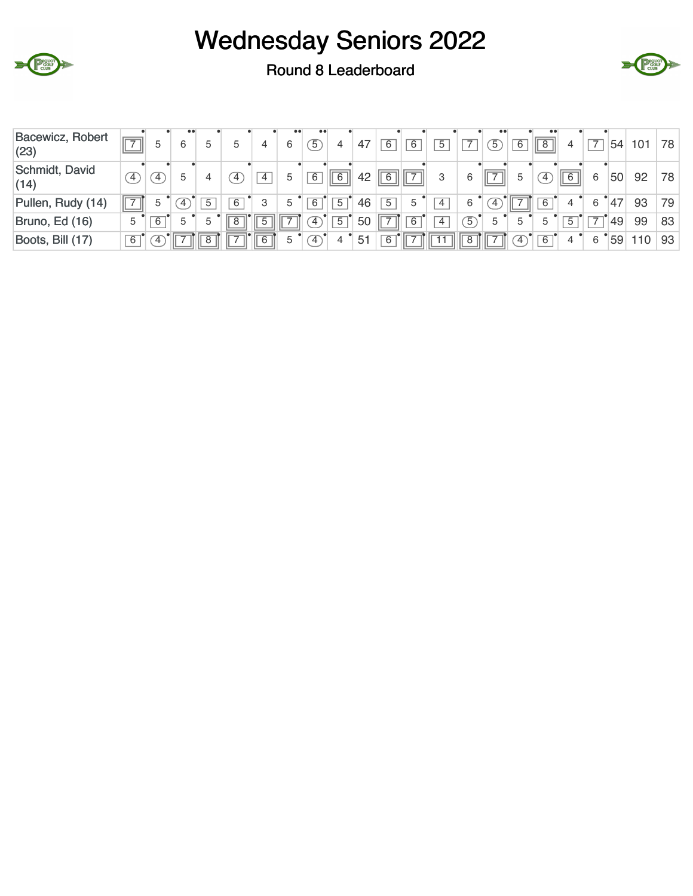



Round 8 Leaderboard

| Bacewicz, Robert<br>(23) |                | 5 | 6 |   | C            | 4     | 6  | $\sqrt{5}$          | 4              | 47 | 6 | 6             | 5              |                | $\overline{5}$ | $\overline{6}$ | $\bullet$ $\bullet$<br>$\parallel 8 \parallel$ |     |   | 54 | 101 | 78 |
|--------------------------|----------------|---|---|---|--------------|-------|----|---------------------|----------------|----|---|---------------|----------------|----------------|----------------|----------------|------------------------------------------------|-----|---|----|-----|----|
| Schmidt, David<br>(14)   | $\overline{4}$ | 4 | 5 |   | $^{\circ}$ 4 | 4     | 5  | 6                   | 6              | 42 | 6 | $\rightarrow$ | 3              | 6              | ' III          | 5              | $\frac{4}{3}$                                  | $6$ | 6 | 50 | 92  | 78 |
| Pullen, Rudy (14)        |                | 5 | 4 | 5 | 6            | 3     | 5  | 6                   | $\overline{5}$ | 46 | 5 | 5             | $\overline{4}$ | 6              | 4              |                | 6                                              |     | 6 | 47 | 93  | 79 |
| Bruno, Ed (16)           | 5              | 6 | 5 | 5 | 8            |       |    | $^{\circ}4^{\circ}$ | 5              | 50 |   | 6             | 4              | $\overline{5}$ | 5              |                | 5                                              | 5   |   | 49 | 99  | 83 |
| Boots, Bill (17)         | 6              | 4 |   |   |              | $6$ I | 5. | $\mathcal{L}$       |                | 51 | 6 |               |                | 8              |                | $\sim$         | 6                                              |     | 6 | 59 | 110 | 93 |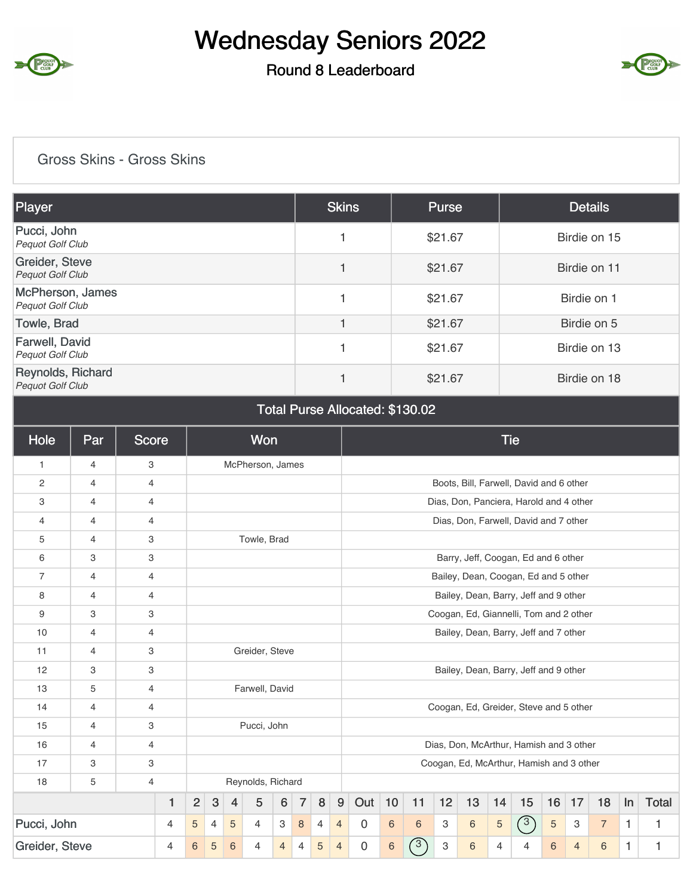

### Round 8 Leaderboard



#### Gross Skins - Gross Skins

| Player                                       | <b>Skins</b> | <b>Purse</b> | <b>Details</b> |
|----------------------------------------------|--------------|--------------|----------------|
| Pucci, John<br><b>Pequot Golf Club</b>       |              | \$21.67      | Birdie on 15   |
| Greider, Steve<br><b>Pequot Golf Club</b>    |              | \$21.67      | Birdie on 11   |
| McPherson, James<br><b>Pequot Golf Club</b>  |              | \$21.67      | Birdie on 1    |
| Towle, Brad                                  |              | \$21.67      | Birdie on 5    |
| Farwell, David<br><b>Pequot Golf Club</b>    |              | \$21.67      | Birdie on 13   |
| Reynolds, Richard<br><b>Pequot Golf Club</b> |              | \$21.67      | Birdie on 18   |

#### Total Purse Allocated: \$130.02

| Hole           | Par            | <b>Score</b>   |                |                |                |                | <b>Won</b>        |                  |                |                |                |             |                 |                  |    |    |                | <b>Tie</b>                               |            |                |                |              |              |
|----------------|----------------|----------------|----------------|----------------|----------------|----------------|-------------------|------------------|----------------|----------------|----------------|-------------|-----------------|------------------|----|----|----------------|------------------------------------------|------------|----------------|----------------|--------------|--------------|
| $\mathbf{1}$   | $\overline{4}$ | 3              |                |                |                |                | McPherson, James  |                  |                |                |                |             |                 |                  |    |    |                |                                          |            |                |                |              |              |
| $\mathbf{2}$   | $\overline{4}$ | $\overline{4}$ |                |                |                |                |                   |                  |                |                |                |             |                 |                  |    |    |                | Boots, Bill, Farwell, David and 6 other  |            |                |                |              |              |
| 3              | $\overline{4}$ | $\overline{4}$ |                |                |                |                |                   |                  |                |                |                |             |                 |                  |    |    |                | Dias, Don, Panciera, Harold and 4 other  |            |                |                |              |              |
| 4              | $\overline{4}$ | $\overline{4}$ |                |                |                |                |                   |                  |                |                |                |             |                 |                  |    |    |                | Dias, Don, Farwell, David and 7 other    |            |                |                |              |              |
| 5              | $\overline{4}$ | 3              |                |                |                |                | Towle, Brad       |                  |                |                |                |             |                 |                  |    |    |                |                                          |            |                |                |              |              |
| 6              | 3              | 3              |                |                |                |                |                   |                  |                |                |                |             |                 |                  |    |    |                | Barry, Jeff, Coogan, Ed and 6 other      |            |                |                |              |              |
| $\overline{7}$ | $\overline{4}$ | 4              |                |                |                |                |                   |                  |                |                |                |             |                 |                  |    |    |                | Bailey, Dean, Coogan, Ed and 5 other     |            |                |                |              |              |
| 8              | $\overline{4}$ | $\overline{4}$ |                |                |                |                |                   |                  |                |                |                |             |                 |                  |    |    |                | Bailey, Dean, Barry, Jeff and 9 other    |            |                |                |              |              |
| 9              | 3              | 3              |                |                |                |                |                   |                  |                |                |                |             |                 |                  |    |    |                | Coogan, Ed, Giannelli, Tom and 2 other   |            |                |                |              |              |
| 10             | $\overline{4}$ | $\overline{4}$ |                |                |                |                |                   |                  |                |                |                |             |                 |                  |    |    |                | Bailey, Dean, Barry, Jeff and 7 other    |            |                |                |              |              |
| 11             | $\overline{4}$ | 3              |                |                |                |                | Greider, Steve    |                  |                |                |                |             |                 |                  |    |    |                |                                          |            |                |                |              |              |
| 12             | 3              | 3              |                |                |                |                |                   |                  |                |                |                |             |                 |                  |    |    |                | Bailey, Dean, Barry, Jeff and 9 other    |            |                |                |              |              |
| 13             | 5              | $\overline{4}$ |                |                |                |                | Farwell, David    |                  |                |                |                |             |                 |                  |    |    |                |                                          |            |                |                |              |              |
| 14             | $\overline{4}$ | $\overline{4}$ |                |                |                |                |                   |                  |                |                |                |             |                 |                  |    |    |                | Coogan, Ed, Greider, Steve and 5 other   |            |                |                |              |              |
| 15             | $\overline{4}$ | 3              |                |                |                |                | Pucci, John       |                  |                |                |                |             |                 |                  |    |    |                |                                          |            |                |                |              |              |
| 16             | $\overline{4}$ | $\overline{4}$ |                |                |                |                |                   |                  |                |                |                |             |                 |                  |    |    |                | Dias, Don, McArthur, Hamish and 3 other  |            |                |                |              |              |
| 17             | 3              | 3              |                |                |                |                |                   |                  |                |                |                |             |                 |                  |    |    |                | Coogan, Ed, McArthur, Hamish and 3 other |            |                |                |              |              |
| 18             | 5              | $\overline{4}$ |                |                |                |                | Reynolds, Richard |                  |                |                |                |             |                 |                  |    |    |                |                                          |            |                |                |              |              |
|                |                |                | 1              | $\overline{2}$ | $\sqrt{3}$     | $\overline{4}$ | 5                 | $\boldsymbol{6}$ | $\overline{7}$ | 8              | 9              | Out         | 10              | 11               | 12 | 13 | 14             | 15                                       | 16         | 17             | 18             | In           | <b>Total</b> |
| Pucci, John    |                |                | $\overline{4}$ | 5              | $\overline{4}$ | $\sqrt{5}$     | 4                 | 3                | 8              | $\overline{4}$ | $\overline{4}$ | $\mathbf 0$ | 6               | 6                | 3  | 6  | $\overline{5}$ | (3)                                      | $\sqrt{5}$ | 3              | $\overline{7}$ | $\mathbf{1}$ | 1            |
| Greider, Steve |                |                | $\overline{4}$ | 6              | 5              | 6              | $\overline{4}$    | $\overline{4}$   | $\overline{4}$ | 5              | $\overline{4}$ | $\mathbf 0$ | $6\phantom{1}6$ | $\left(3\right)$ | 3  | 6  | 4              | 4                                        | 6          | $\overline{4}$ | $6\,$          | $\mathbf{1}$ | 1            |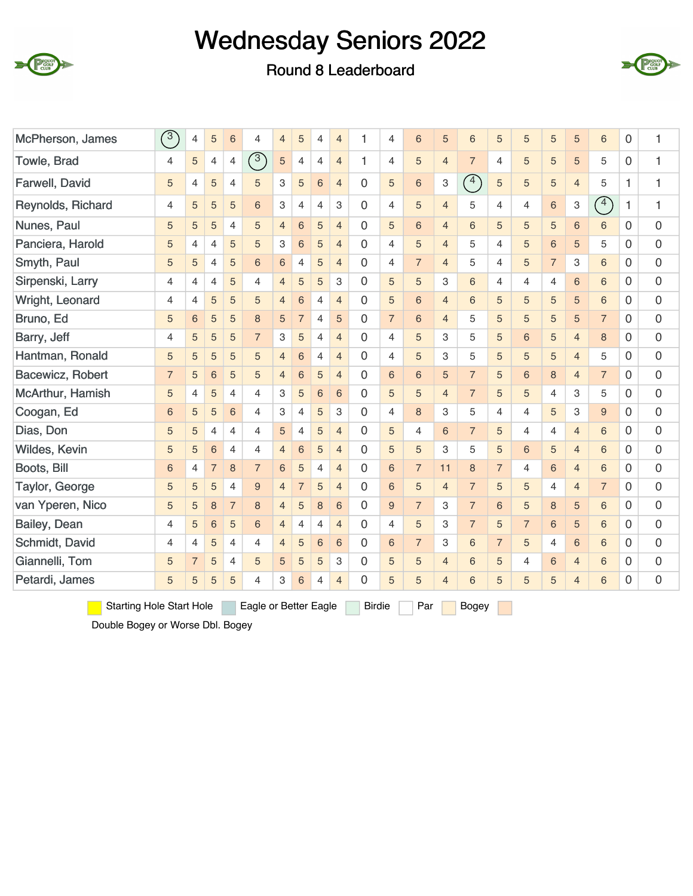





| McPherson, James                | $\binom{3}{ }$ | 4              | 5               | 6              | 4                     | $\overline{4}$ | 5               | $\overline{4}$ | $\overline{4}$ | 1             | 4              | 6              | 5              | 6              | $\sqrt{5}$     | 5              | 5              | 5              | 6              | 0            | 1            |
|---------------------------------|----------------|----------------|-----------------|----------------|-----------------------|----------------|-----------------|----------------|----------------|---------------|----------------|----------------|----------------|----------------|----------------|----------------|----------------|----------------|----------------|--------------|--------------|
| Towle, Brad                     | $\overline{4}$ | 5              | $\overline{4}$  | 4              | (3)                   | 5              | $\overline{4}$  | $\overline{4}$ | $\overline{4}$ | 1             | $\overline{4}$ | 5              | $\overline{4}$ | $\overline{7}$ | $\overline{4}$ | 5              | $\overline{5}$ | 5              | 5              | 0            | $\mathbf{1}$ |
| Farwell, David                  | 5              | $\overline{4}$ | 5               | 4              | 5                     | 3              | 5               | $\sqrt{6}$     | $\overline{4}$ | $\mathbf 0$   | 5              | 6              | 3              | $\bigodot$     | 5              | 5              | 5              | $\overline{4}$ | 5              | $\mathbf{1}$ | 1            |
| Reynolds, Richard               | 4              | 5              | 5               | 5              | 6                     | 3              | $\overline{4}$  | $\overline{4}$ | 3              | $\mathbf{0}$  | 4              | 5              | $\overline{4}$ | 5              | 4              | 4              | 6              | 3              | $\binom{4}{ }$ | 1            | 1            |
| Nunes, Paul                     | 5              | 5              | 5               | $\overline{4}$ | 5                     | $\overline{4}$ | $6\phantom{1}6$ | 5              | $\overline{4}$ | $\mathbf 0$   | 5              | 6              | $\overline{4}$ | 6              | 5              | 5              | 5              | 6              | 6              | $\Omega$     | 0            |
| Panciera, Harold                | 5              | $\overline{4}$ | $\overline{4}$  | 5              | 5                     | 3              | $6\phantom{1}6$ | 5              | $\overline{4}$ | $\Omega$      | $\overline{4}$ | 5              | $\overline{4}$ | 5              | $\overline{4}$ | 5              | $\sqrt{6}$     | 5              | 5              | 0            | 0            |
| Smyth, Paul                     | 5              | 5              | $\overline{4}$  | 5              | 6                     | 6              | $\overline{4}$  | $\sqrt{5}$     | $\overline{4}$ | $\mathbf 0$   | $\overline{4}$ | $\overline{7}$ | $\overline{4}$ | 5              | 4              | 5              | $\overline{7}$ | З              | 6              | $\Omega$     | 0            |
| Sirpenski, Larry                | 4              | 4              | 4               | 5              | 4                     | $\overline{4}$ | 5               | 5              | 3              | $\Omega$      | 5              | 5              | 3              | 6              | 4              | 4              | $\overline{4}$ | 6              | 6              | 0            | 0            |
| Wright, Leonard                 | 4              | $\overline{4}$ | 5               | 5              | 5                     | $\overline{4}$ | $6\phantom{1}6$ | $\overline{4}$ | $\overline{4}$ | $\mathbf 0$   | 5              | 6              | $\overline{4}$ | 6              | 5              | 5              | 5              | 5              | 6              | $\Omega$     | 0            |
| Bruno, Ed                       | 5              | 6              | 5               | 5              | 8                     | 5              | $\overline{7}$  | 4              | 5              | $\Omega$      | $\overline{7}$ | 6              | $\overline{4}$ | 5              | 5              | 5              | 5              | 5              | $\overline{7}$ | 0            | 0            |
| Barry, Jeff                     | 4              | 5              | 5               | 5              | $\overline{7}$        | 3              | 5               | $\overline{4}$ | $\overline{4}$ | $\mathbf 0$   | $\overline{4}$ | 5              | 3              | 5              | 5              | 6              | 5              | $\overline{4}$ | 8              | 0            | 0            |
| Hantman, Ronald                 | 5              | 5              | 5               | 5              | 5                     | $\overline{4}$ | $6\phantom{1}6$ | 4              | $\overline{4}$ | $\Omega$      | 4              | 5              | 3              | 5              | 5              | 5              | 5              | $\overline{4}$ | 5              | 0            | 0            |
| Bacewicz, Robert                | $\overline{7}$ | 5              | $6\phantom{1}6$ | 5              | 5                     | $\overline{4}$ | 6               | 5              | $\overline{4}$ | $\Omega$      | 6              | 6              | 5              | $\overline{7}$ | 5              | 6              | 8              | $\overline{4}$ | $\overline{7}$ | $\Omega$     | 0            |
| McArthur, Hamish                | 5              | $\overline{4}$ | 5               | $\overline{4}$ | 4                     | 3              | 5               | $\sqrt{6}$     | 6              | $\Omega$      | 5              | 5              | $\overline{4}$ | $\overline{7}$ | 5              | 5              | $\overline{4}$ | 3              | 5              | $\Omega$     | 0            |
| Coogan, Ed                      | 6              | 5              | 5               | 6              | $\overline{4}$        | 3              | $\overline{4}$  | 5              | 3              | $\Omega$      | $\overline{4}$ | 8              | З              | 5              | $\overline{4}$ | $\overline{4}$ | 5              | 3              | 9              | $\Omega$     | 0            |
| Dias, Don                       | 5              | 5              | $\overline{4}$  | $\overline{4}$ | $\overline{4}$        | 5              | 4               | 5              | $\overline{4}$ | $\mathbf 0$   | 5              | 4              | 6              | $\overline{7}$ | 5              | $\overline{4}$ | 4              | $\overline{4}$ | 6              | 0            | 0            |
| Wildes, Kevin                   | 5              | 5              | 6               | $\overline{4}$ | $\overline{4}$        | $\overline{4}$ | 6               | 5              | $\overline{4}$ | $\Omega$      | 5              | 5              | 3              | 5              | 5              | 6              | 5              | $\overline{4}$ | 6              | $\Omega$     | 0            |
| Boots, Bill                     | 6              | $\overline{4}$ | $\overline{7}$  | 8              | $\overline{7}$        | 6              | 5               | $\overline{4}$ | $\overline{4}$ | $\Omega$      | 6              | $\overline{7}$ | 11             | 8              | $\overline{7}$ | $\overline{4}$ | 6              | $\overline{4}$ | 6              | $\Omega$     | 0            |
| Taylor, George                  | 5              | 5              | 5               | $\overline{4}$ | 9                     | $\overline{4}$ | $\overline{7}$  | 5              | $\overline{4}$ | $\Omega$      | 6              | 5              | $\overline{4}$ | $\overline{7}$ | 5              | 5              | $\overline{4}$ | $\overline{4}$ | $\overline{7}$ | $\Omega$     | 0            |
| van Yperen, Nico                | 5              | 5              | 8               | $\overline{7}$ | 8                     | $\overline{4}$ | 5               | $\,8\,$        | 6              | $\Omega$      | 9              | $\overline{7}$ | 3              | $\overline{7}$ | 6              | 5              | 8              | 5              | 6              | 0            | 0            |
| Bailey, Dean                    | 4              | 5              | 6               | 5              | 6                     | $\overline{4}$ | $\overline{4}$  | $\overline{4}$ | $\overline{4}$ | $\Omega$      | $\overline{4}$ | 5              | 3              | $\overline{7}$ | 5              | $\overline{7}$ | 6              | 5              | 6              | $\Omega$     | 0            |
| Schmidt, David                  | 4              | $\overline{4}$ | 5               | $\overline{4}$ | $\overline{4}$        | $\overline{4}$ | 5               | $\,$ 6 $\,$    | 6              | $\mathbf 0$   | 6              | $\overline{7}$ | 3              | $6\phantom{1}$ | $\overline{7}$ | 5              | $\overline{4}$ | $6\phantom{a}$ | 6              | 0            | 0            |
| Giannelli, Tom                  | 5              | $\overline{7}$ | 5               | $\overline{4}$ | 5                     | 5              | 5               | 5              | 3              | $\mathbf 0$   | 5              | 5              | $\overline{4}$ | 6              | $\sqrt{5}$     | $\overline{4}$ | $\,6$          | $\overline{4}$ | 6              | 0            | 0            |
| Petardi, James                  | 5              | 5              | 5               | 5              | 4                     | 3              | 6               | 4              | $\overline{4}$ | $\mathbf 0$   | 5              | 5              | $\overline{4}$ | 6              | 5              | 5              | 5              | $\overline{4}$ | $6\phantom{a}$ | 0            | 0            |
| <b>Starting Hole Start Hole</b> |                |                |                 |                | Eagle or Better Eagle |                |                 |                |                | <b>Birdie</b> |                | Par            |                | Bogey          |                |                |                |                |                |              |              |

Double Bogey or Worse Dbl. Bogey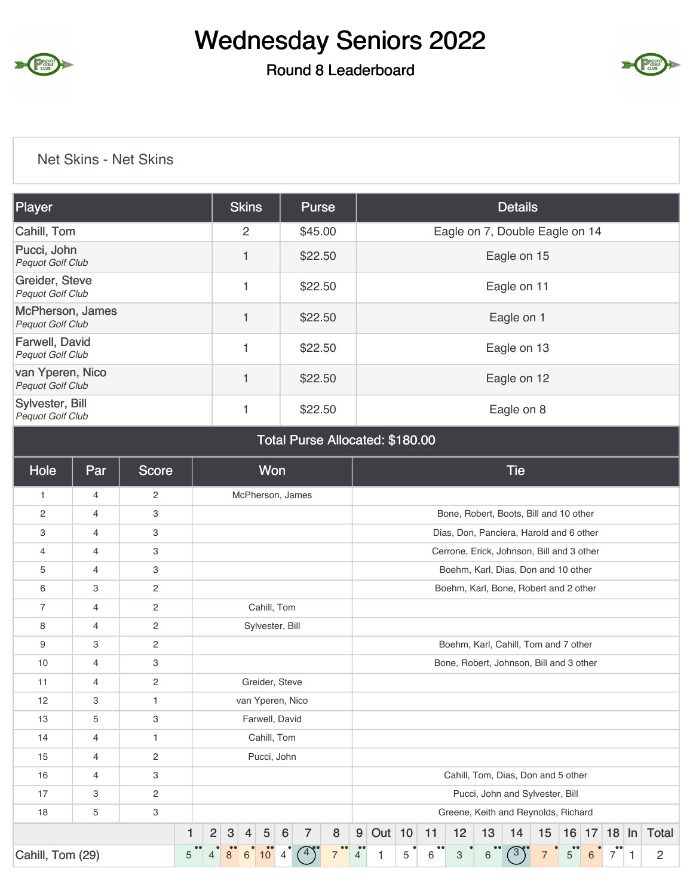

### Round 8 Leaderboard



#### Net Skins - Net Skins

| Player                                     | <b>Skins</b> | <b>Purse</b> | <b>Details</b>                 |
|--------------------------------------------|--------------|--------------|--------------------------------|
| Cahill, Tom                                | 2            | \$45.00      | Eagle on 7, Double Eagle on 14 |
| Pucci, John<br>Pequot Golf Club            | 1            | \$22.50      | Eagle on 15                    |
| Greider, Steve<br>Pequot Golf Club         |              | \$22.50      | Eagle on 11                    |
| McPherson, James<br>Pequot Golf Club       | 1            | \$22.50      | Eagle on 1                     |
| Farwell, David<br>Pequot Golf Club         |              | \$22.50      | Eagle on 13                    |
| van Yperen, Nico<br>Pequot Golf Club       | 1            | \$22.50      | Eagle on 12                    |
| Sylvester, Bill<br><b>Pequot Golf Club</b> |              | \$22.50      | Eagle on 8                     |

#### Total Purse Allocated: \$180.00

| Hole             | Par            | <b>Score</b>   |   |                |              |   | Won              |                 |                  |                                    |                |          |   |    |    |    | <b>Tie</b>                                |    |   |   |                |   |                           |
|------------------|----------------|----------------|---|----------------|--------------|---|------------------|-----------------|------------------|------------------------------------|----------------|----------|---|----|----|----|-------------------------------------------|----|---|---|----------------|---|---------------------------|
| $\mathbf{1}$     | 4              | $\overline{c}$ |   |                |              |   |                  |                 | McPherson, James |                                    |                |          |   |    |    |    |                                           |    |   |   |                |   |                           |
| $\overline{c}$   | $\overline{4}$ | 3              |   |                |              |   |                  |                 |                  |                                    |                |          |   |    |    |    | Bone, Robert, Boots, Bill and 10 other    |    |   |   |                |   |                           |
| 3                | 4              | 3              |   |                |              |   |                  |                 |                  |                                    |                |          |   |    |    |    | Dias, Don, Panciera, Harold and 6 other   |    |   |   |                |   |                           |
| 4                | $\overline{4}$ | 3              |   |                |              |   |                  |                 |                  |                                    |                |          |   |    |    |    | Cerrone, Erick, Johnson, Bill and 3 other |    |   |   |                |   |                           |
| 5                | 4              | 3              |   |                |              |   |                  |                 |                  |                                    |                |          |   |    |    |    | Boehm, Karl, Dias, Don and 10 other       |    |   |   |                |   |                           |
| 6                | 3              | $\mathbf{2}$   |   |                |              |   |                  |                 |                  |                                    |                |          |   |    |    |    | Boehm, Karl, Bone, Robert and 2 other     |    |   |   |                |   |                           |
| $\overline{7}$   | $\overline{4}$ | $\overline{c}$ |   |                |              |   | Cahill, Tom      |                 |                  |                                    |                |          |   |    |    |    |                                           |    |   |   |                |   |                           |
| 8                | 4              | $\mathbf{2}$   |   |                |              |   | Sylvester, Bill  |                 |                  |                                    |                |          |   |    |    |    |                                           |    |   |   |                |   |                           |
| $9$              | 3              | $\overline{c}$ |   |                |              |   |                  |                 |                  |                                    |                |          |   |    |    |    | Boehm, Karl, Cahill, Tom and 7 other      |    |   |   |                |   |                           |
| 10               | 4              | 3              |   |                |              |   |                  |                 |                  |                                    |                |          |   |    |    |    | Bone, Robert, Johnson, Bill and 3 other   |    |   |   |                |   |                           |
| 11               | 4              | $\overline{c}$ |   |                |              |   | Greider, Steve   |                 |                  |                                    |                |          |   |    |    |    |                                           |    |   |   |                |   |                           |
| 12               | 3              | $\mathbf{1}$   |   |                |              |   | van Yperen, Nico |                 |                  |                                    |                |          |   |    |    |    |                                           |    |   |   |                |   |                           |
| 13               | 5              | 3              |   |                |              |   | Farwell, David   |                 |                  |                                    |                |          |   |    |    |    |                                           |    |   |   |                |   |                           |
| 14               | 4              | $\mathbf{1}$   |   |                |              |   | Cahill, Tom      |                 |                  |                                    |                |          |   |    |    |    |                                           |    |   |   |                |   |                           |
| 15               | $\overline{4}$ | $\mathbf{2}$   |   |                |              |   | Pucci, John      |                 |                  |                                    |                |          |   |    |    |    |                                           |    |   |   |                |   |                           |
| 16               | 4              | 3              |   |                |              |   |                  |                 |                  |                                    |                |          |   |    |    |    | Cahill, Tom, Dias, Don and 5 other        |    |   |   |                |   |                           |
| 17               | 3              | $\overline{c}$ |   |                |              |   |                  |                 |                  |                                    |                |          |   |    |    |    | Pucci, John and Sylvester, Bill           |    |   |   |                |   |                           |
| 18               | 5              | 3              |   |                |              |   |                  |                 |                  |                                    |                |          |   |    |    |    | Greene, Keith and Reynolds, Richard       |    |   |   |                |   |                           |
|                  |                |                | 1 | $\overline{2}$ | $\mathbf{3}$ | 4 | $\sqrt{5}$       | $6\phantom{1}6$ | $\overline{7}$   | 8                                  | 9 <sup>1</sup> | Out $10$ |   | 11 | 12 | 13 | 14                                        | 15 |   |   |                |   | 16   17   18   In   Total |
| Cahill, Tom (29) |                |                | 5 |                |              | 6 | 10               | 4               |                  | $\bullet\bullet$<br>$\overline{7}$ | $\bullet$<br>4 | 1        | 5 | 6  | 3  | 6  |                                           |    | 5 | 6 | $\overline{7}$ | 1 | $\overline{2}$            |